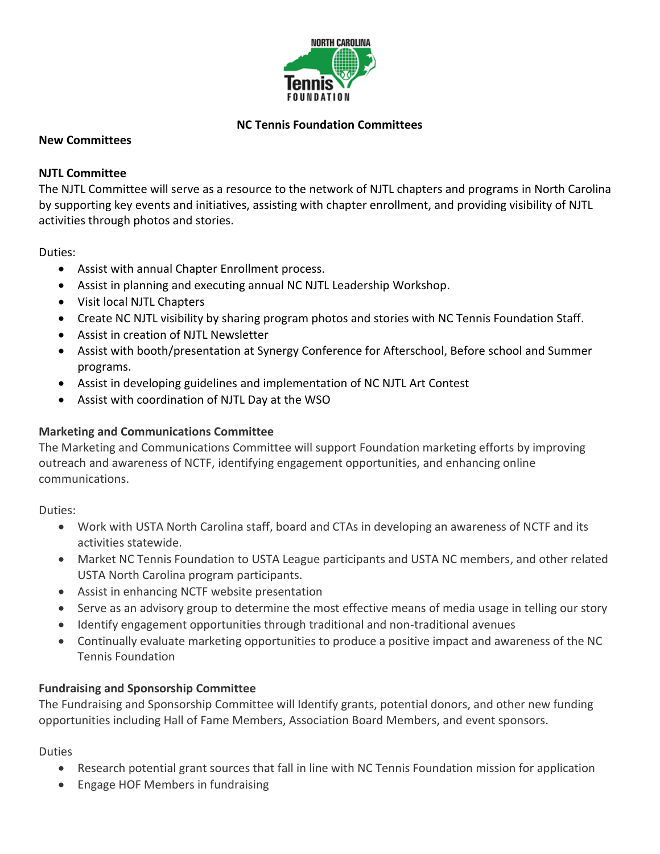

# **NC Tennis Foundation Committees**

#### **New Committees**

#### **NJTL Committee**

The NJTL Committee will serve as a resource to the network of NJTL chapters and programs in North Carolina by supporting key events and initiatives, assisting with chapter enrollment, and providing visibility of NJTL activities through photos and stories.

Duties:

- Assist with annual Chapter Enrollment process.
- Assist in planning and executing annual NC NJTL Leadership Workshop.
- Visit local NJTL Chapters
- Create NC NJTL visibility by sharing program photos and stories with NC Tennis Foundation Staff.
- Assist in creation of NJTL Newsletter
- Assist with booth/presentation at Synergy Conference for Afterschool, Before school and Summer programs.
- Assist in developing guidelines and implementation of NC NJTL Art Contest
- Assist with coordination of NJTL Day at the WSO

## **Marketing and Communications Committee**

The Marketing and Communications Committee will support Foundation marketing efforts by improving outreach and awareness of NCTF, identifying engagement opportunities, and enhancing online communications.

Duties:

- Work with USTA North Carolina staff, board and CTAs in developing an awareness of NCTF and its activities statewide.
- Market NC Tennis Foundation to USTA League participants and USTA NC members, and other related USTA North Carolina program participants.
- Assist in enhancing NCTF website presentation
- Serve as an advisory group to determine the most effective means of media usage in telling our story
- Identify engagement opportunities through traditional and non-traditional avenues
- Continually evaluate marketing opportunities to produce a positive impact and awareness of the NC Tennis Foundation

## **Fundraising and Sponsorship Committee**

The Fundraising and Sponsorship Committee will Identify grants, potential donors, and other new funding opportunities including Hall of Fame Members, Association Board Members, and event sponsors.

Duties

- Research potential grant sources that fall in line with NC Tennis Foundation mission for application
- Engage HOF Members in fundraising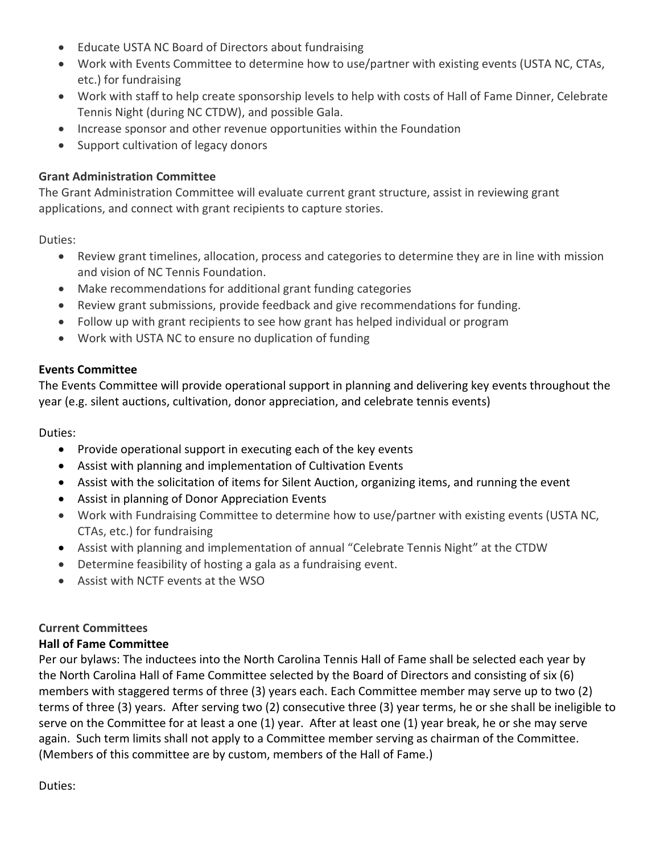- Educate USTA NC Board of Directors about fundraising
- Work with Events Committee to determine how to use/partner with existing events (USTA NC, CTAs, etc.) for fundraising
- Work with staff to help create sponsorship levels to help with costs of Hall of Fame Dinner, Celebrate Tennis Night (during NC CTDW), and possible Gala.
- Increase sponsor and other revenue opportunities within the Foundation
- Support cultivation of legacy donors

# **Grant Administration Committee**

The Grant Administration Committee will evaluate current grant structure, assist in reviewing grant applications, and connect with grant recipients to capture stories.

Duties:

- Review grant timelines, allocation, process and categories to determine they are in line with mission and vision of NC Tennis Foundation.
- Make recommendations for additional grant funding categories
- Review grant submissions, provide feedback and give recommendations for funding.
- Follow up with grant recipients to see how grant has helped individual or program
- Work with USTA NC to ensure no duplication of funding

## **Events Committee**

The Events Committee will provide operational support in planning and delivering key events throughout the year (e.g. silent auctions, cultivation, donor appreciation, and celebrate tennis events)

Duties:

- Provide operational support in executing each of the key events
- Assist with planning and implementation of Cultivation Events
- Assist with the solicitation of items for Silent Auction, organizing items, and running the event
- Assist in planning of Donor Appreciation Events
- Work with Fundraising Committee to determine how to use/partner with existing events (USTA NC, CTAs, etc.) for fundraising
- Assist with planning and implementation of annual "Celebrate Tennis Night" at the CTDW
- Determine feasibility of hosting a gala as a fundraising event.
- Assist with NCTF events at the WSO

# **Current Committees**

## **Hall of Fame Committee**

Per our bylaws: The inductees into the North Carolina Tennis Hall of Fame shall be selected each year by the North Carolina Hall of Fame Committee selected by the Board of Directors and consisting of six (6) members with staggered terms of three (3) years each. Each Committee member may serve up to two (2) terms of three (3) years. After serving two (2) consecutive three (3) year terms, he or she shall be ineligible to serve on the Committee for at least a one (1) year. After at least one (1) year break, he or she may serve again. Such term limits shall not apply to a Committee member serving as chairman of the Committee. (Members of this committee are by custom, members of the Hall of Fame.)

Duties: